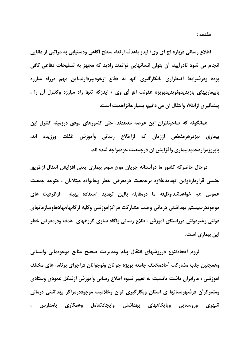مقدمه :

اطلاع رسانی درباره اچ أی وی/ ایدز باهدف ارتقاء سطح أگاهی ودستیابی به مراتبی از دانایی انجام می شود تادرأیینه أن بتوان انسانهایی توانمند رادید که مجهز به تسلیحات دفاعی کافی بوده ودرشرایط اضطراری بابکارگیری آنها به دفاع ازخودبپردازند.این مهم درراه مبارزه بابیماریهای بازپدیدونوپدیدبویژه عفونت اچ آی وی / ایدزکه تنها راه مبارزه وکنترل آن را ، پیشگیری ازابتلاء وانتقال آن می دانیم، بسیار حائزاهمیت است.

همانگونه که صاحبنظران این عرصه معتقدند، حتی کشورهای موفق درزمینه کنترل این بیماری نیزدرهرمقطعی اززمان که ازاطلاع رسانی وأموزش غفلت ورزیده اند، بابروزمواردجدیدبیماری وافزایش آن درجمعیت خودمواجه شده اند.

درحال حاضركه كشور ما درأستانه جريان موج سوم بيماري يعنى افزايش انتقال ازطريق جنسی قرارداردواین تهدیدعلاوه برجمعیت درمعرض خطر وخانواده مبتلایان ، متوجه جمعیت عمومی هم خواهدشد،وظیفه ما درمقابله بااین تهدید استفاده بهینه ازظرفیت های موجوددرسیستم بهداشتی درمانی وجلب مشارکت مراکزآموزشی وکلیه ارگانها،نهادهاوسازمانهای دولتی وغیردولتی درراستای أموزش ،اطلاع رسانی وأگاه سازی گروههای ِ هدف ودرمعرض خطر این بیماری است.

لزوم ايجادتنوع درروشهاى انتقال پيام ومديريت صحيح منابع موجودمالي وانساني وهمچنین جلب مشارکت أحادمختلف جامعه بویژه جوانان ونوجوانان دراجرای برنامه های مختلف **آموزشی ، مارابرآن داشت تانسبت به تغییر شیوه اطلاع رسانی وآموزش ازشکل عمودی وستادی** ومتمرکزأن درشهرستانها ی استان وبکارگیری توان وخلاقیت موجوددرمراکز بهداشتی درمانی شهری وروستایی ویایگاههای بهداشتی وایجادتعامل وهمکاری بامدارس ،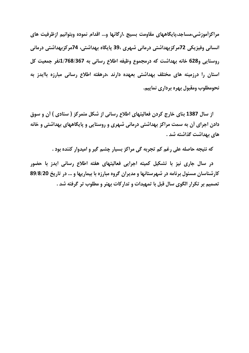مراکزآموزشی،مساجد،پایگاههای مقاومت بسیج ،ارگانها و… اقدام نموده وبتوانیم ازظرفیت های انسانی وفیزیکی 72مرکزبهداشتی درمانی شهری ،39 پایگاه بهداشتی، 74مرکزبهداشتی درمانی روستايي و628 خانه بهداشت كه درمجموع وظيفه اطلاع رساني به 1/768/367نفر جمعيت كل استان را درزمینه های مختلف بهداشتی بعهده دارند ،درهفته اطلاع رسانی مبارزه باایدز به نحومطلوب ومقبول بهره برداري نماييم.

از سال 1387 بنای خارج کردن فعالیتهای اطلاع رسانی از شکل متمرکز ( ستادی ) آن و سوق دادن اجرای آن به سمت مراکز بهداشتی درمانی شهری و روستایی و پایگاههای بهداشتی و خانه های بهداشت گذاشته شد .

که نتیجه حاصله علی رغم کم تجربه گی مراکز بسیار چشم گیر و امیدوار کننده بود .

در سال جاری نیز با تشکیل کمیته اجرایی فعالیتهای هفته اطلاع رسانی ایدز با حضور کارشناسان مسئول برنامه در شهرستانها و مدیران گروه مبارزه با بیماریها و … در تاریخ 89/8/20 تصمیم بر تکرار الگوی سال قبل با تمهیدات و تدارکات بهتر و مطلوب تر گرفته شد .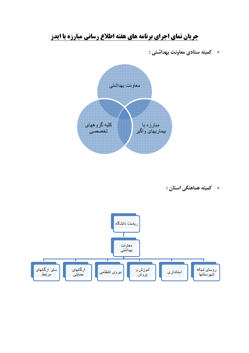## جریان نمای اجرای برنامه های هفته اطلاع رسانی مبارزه با ایدز

- کمیته ستادی معاونت بهداشتی :



- کمیته هماهنگی استان :

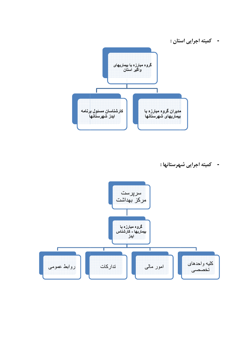- كميته اجرايي استان :



- كميته اجرايي شهرستانها :

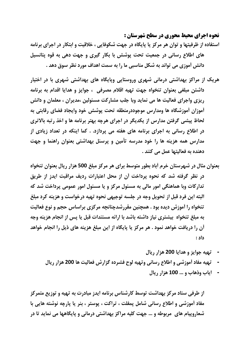نحوه اجرای محیط محوری در سطح شهرستان :

استفاده از ظرفیتها و توان هر مرکز یا پایگاه در جهت شکوفایی ، خلاقیت و ابتکار در اجرای برنامه های اطلاع رسانی در جمعیت تحت پوشش با بکار گیری و جهت دهی به قوه پتانسیل دانش آموزي مي تواند به شكل مناسبي ما را به سمت اهداف مورد نظر سوق دهد .

- هریک از مراکز بهداشتی درمانی شهری وروستایی ویایگاه های بهداشتی شهری با در اختیار داشتن مبلغی بعنوان تنخواه جهت تهیه اقلام مصرفی ، جوایز و هدایا اقدام به برنامه ریزی واجرای فعالیت ها می نماید وبا جلب مشارکت مسئولین ،مدیران ، معلمان و دانش أموزان أموزشگاه ها ومدارس موجوددرمنطقه تحت پوشش خود وايجاد فضاي رقابتي به لحاظ پیشی گرفتن مدارس از یکدیگر در اجرای هرچه بهتر برنامه ها و اخذ رتبه بالاتری در اطلاع رسانی به اجرای برنامه های هفته می پردازد. . کما اینکه در تعداد زیادی از مدارس همه هزینه ها را خود مدرسه تأمین و پرسنل بهداشتی بعنوان راهنما و جهت دهنده به فعاليتها عمل مي كنند .
- بعنوان مثال در شهرستان خرم أباد بطور متوسط براي هر مركز مبلغ 500 هزار ريال بعنوان تنخواه در نظر گرفته شد که نحوه پرداخت آن از محل اعتبارات ردیف مراقبت ایدز از طریق تدارکات وبا هماهنگی امور مالی به مسئول مرکز و یا مسئول امور عمومی پرداخت شد که البته اين فرد قبل از تحويل وجه در جلسه توجيهي نحوه تهيه درخواست و هزينه كرد مبلغ تنخواه را أموزش ديده بود . همچنين مقررشدچنانچه مركزي براساس حجم و نوع فعاليت به مبلغ تنخواه بیشتری نیاز داشته باشد با ارائه مستندات قبل یا پس از انجام هزینه وجه آن را دریافت خواهد نمود . هر مرکز یا پایگاه از این مبلغ هزینه های ذیل را انجام خواهد داد :
	- تهيه جوايز و هدايا 200 هزار ريال
	- تهيه مفاد أموزشي و اطلاع رساني وتهيه لوح فشرده گزارش فعاليت ها 200 هزار ريال
		- اياب وذهاب و ... 100 هزار ريال

از طرفی ستاد مرکز بهداشت توسط کارشناس برنامه ایدز مبادرت به تهیه و توزیع متمرکز مفاد أموزشي و اطلاع رساني شامل يمفلت ، تراكت ، يوستر ، بنر يا يارچه نوشته هايي با شعاروییام های ِ مربوطه و … جهت کلیه مراکز بهداشتی درمانی و پایگاهها می نماید تا در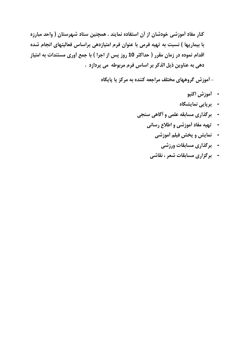کنار مفاد آموزشی خودشان از آن استفاده نمایند . همچنین ستاد شهرستان ( واحد مبارزه با بیماریها ) نسبت به تهیه فرمی با عنوان فرم امتیازدهی براساس فعالیتهای انجام شده اقدام نموده در زمان مقرر ( حداکثر 10 روز پس از اجرا ) با جمع آوری مستندات به امتیاز دهي به عناوين ذيل الذكر بر اساس فرم مربوطه ًمي پردازد .

- آموزش گروههای مختلف مراجعه کننده به مرکز یا پایگاه

- أموزش اكتيو
- بريايي نمايشگاه
- برگذاري مسابقه علمي و أگاهي سنجي
	- تهيه مفاد آموزشي و اطلاع رساني
		- نمایش و پخش فیلم آموزشی
			- **برگذاری مسابقات ورزشبی**
		- **برگزاری مسابقات شعر ، نقاشی**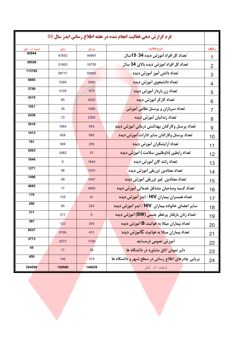| <b>فرم گزارش دهی فعالیت انجام شده در هفته اطلاع رسانی ایدز سال 89</b> |        |          |                                                               |                |
|-----------------------------------------------------------------------|--------|----------|---------------------------------------------------------------|----------------|
|                                                                       | زنان   | مردان    | شرح فعاليت                                                    | رديف           |
| <u>تعداد کل</u><br>92844                                              | 47853  | 44991    | تعداد كل افراد أموزش ديده 34-15سال                            | 1              |
| 38558                                                                 | 21803  | 16755    | تعداد كل افراد أموزش ديده بالاي 34 سال                        | 2              |
| 113782                                                                | 58717  | 55065    | تعداد دانش أموز أموزش ديده                                    | 3              |
| 6985                                                                  | 3300   | 3685     | تعداد دانشجوي أموزش ديد <mark>ه</mark>                        | 4              |
| 3799                                                                  | 3120   | 679      | تعداد زن باردار أموزش د <mark>یده</mark>                      | 5              |
| 4315                                                                  | 95     | 4220     | تعداد کارگر آموزش دی <mark>ده</mark>                          | 6              |
| 1921                                                                  | 35     | 1886     | تعداد سربازان و پرسنل نظام <mark>ی آموزش</mark>               | $\overline{7}$ |
| 2438                                                                  | 73     | 2365     | تعداد زندانیان آموزش <mark>دیده</mark>                        | 8              |
| 2018                                                                  | 1064   | 954      | تعداد پرسنل وكاركنان بهداشتي درم <mark>اني أموزش ديد</mark> ه | 9              |
| 1413                                                                  | 428    | 985      | تعداد پرسنل وكاركنان ساير ادارات أموزش ديده                   | 10             |
| 761                                                                   | 506    | 255      | تعداد آرایشگران آموزش د <mark>یده</mark>                      | 11             |
| 2503                                                                  | 2482   | 21       | تعداد رابطين (داوطلبين سلامت ) أموز <mark>ش ديده</mark>       | 12             |
| 1844                                                                  | 0      | 1844     | تعداد رانند گان أموزش ديده                                    | 13             |
| 1271                                                                  | 48     | 1223     | تعداد معتادين تزريقي أموزش ديده                               | 14             |
| 1496                                                                  | 49     | 1447     | تعداد معتادين  غير تزريقي أموزش د <mark>يده</mark>            | 15             |
| 4682                                                                  | 17     | 4665     | تعداد كسبه وصاحبان مشاغل خدماتي أموزش ديده                    | 16             |
| 176                                                                   | 135    | 41       | تعداد همسران بیماران HIV / اید <mark>ز آموزشی دیده</mark>     | 17             |
| 290                                                                   | 65     | 225      | سایر اعضای خانواده بیماران HIV / ایدز آموزش دیده              | 18             |
| 311                                                                   | 311    | $\bf{0}$ | تعداد زنان بارفتار پرخطر جنسی (SW) آموزش دیده                 | 19             |
| 387                                                                   | 123    | 264      | تعداد بیماران مبتلا به <mark>هپاتیت B أموزش دیده</mark>       | 20             |
| 8537                                                                  | 8106   | 431      | تعداد بیماران مبتلاً به هیاتیت JCآموزش دیده                   | 21             |
| 3773                                                                  | 2073   | 1700     | أموزش عمومي درمساجد                                           | 22             |
| 45                                                                    | 17     | 28       | دایر نمودن اتاق مشاوره در دانشگاه ها                          | 23             |
| 450                                                                   | 140    | 310      | برپایی چادرهای اطلاع رسانی در سطح شهر و دانشگاه ها            | 24             |
| 294599                                                                | 150560 | 144039   | تعداد كل                                                      |                |